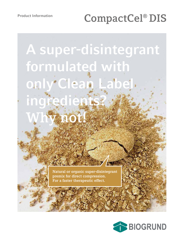# **CompactCel® DIS**

**A super-disintegrant formulated with only Clean Label ingredients? Why not!**

> **Natural or organic super-disintegrant premix for direct compression. For a faster therapeutic effect.**